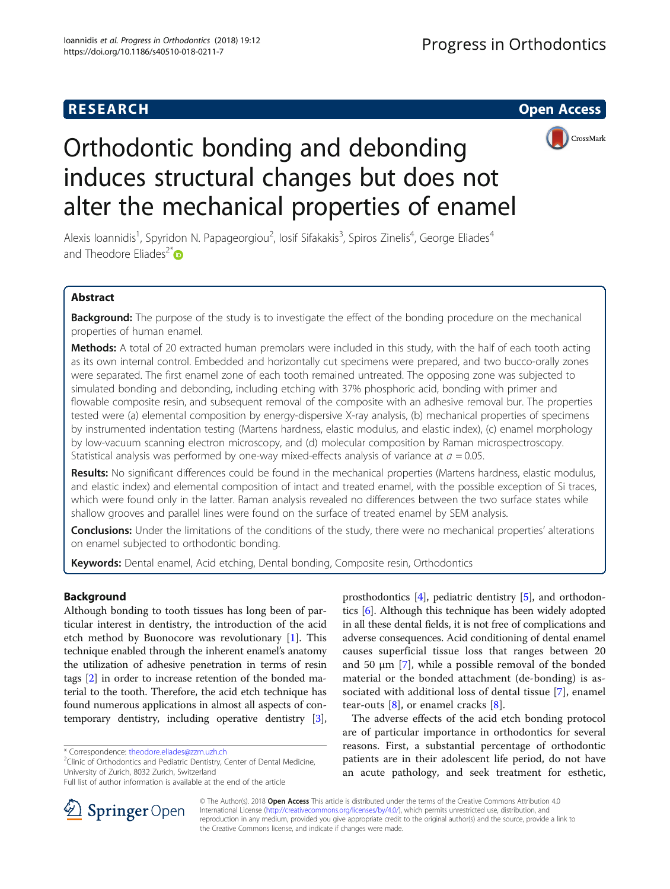

# Orthodontic bonding and debonding induces structural changes but does not alter the mechanical properties of enamel

Alexis Ioannidis<sup>1</sup>, Spyridon N. Papageorgiou<sup>2</sup>, Iosif Sifakakis<sup>3</sup>, Spiros Zinelis<sup>4</sup>, George Eliades<sup>4</sup> and Theodore Eliades<sup>2[\\*](http://orcid.org/0000-0003-2313-4979)</sup> $\bullet$ 

# Abstract

Background: The purpose of the study is to investigate the effect of the bonding procedure on the mechanical properties of human enamel.

Methods: A total of 20 extracted human premolars were included in this study, with the half of each tooth acting as its own internal control. Embedded and horizontally cut specimens were prepared, and two bucco-orally zones were separated. The first enamel zone of each tooth remained untreated. The opposing zone was subjected to simulated bonding and debonding, including etching with 37% phosphoric acid, bonding with primer and flowable composite resin, and subsequent removal of the composite with an adhesive removal bur. The properties tested were (a) elemental composition by energy-dispersive X-ray analysis, (b) mechanical properties of specimens by instrumented indentation testing (Martens hardness, elastic modulus, and elastic index), (c) enamel morphology by low-vacuum scanning electron microscopy, and (d) molecular composition by Raman microspectroscopy. Statistical analysis was performed by one-way mixed-effects analysis of variance at  $a = 0.05$ .

Results: No significant differences could be found in the mechanical properties (Martens hardness, elastic modulus, and elastic index) and elemental composition of intact and treated enamel, with the possible exception of Si traces, which were found only in the latter. Raman analysis revealed no differences between the two surface states while shallow grooves and parallel lines were found on the surface of treated enamel by SEM analysis.

**Conclusions:** Under the limitations of the conditions of the study, there were no mechanical properties' alterations on enamel subjected to orthodontic bonding.

Keywords: Dental enamel, Acid etching, Dental bonding, Composite resin, Orthodontics

## Background

Although bonding to tooth tissues has long been of particular interest in dentistry, the introduction of the acid etch method by Buonocore was revolutionary [[1\]](#page-5-0). This technique enabled through the inherent enamel's anatomy the utilization of adhesive penetration in terms of resin tags [\[2\]](#page-5-0) in order to increase retention of the bonded material to the tooth. Therefore, the acid etch technique has found numerous applications in almost all aspects of contemporary dentistry, including operative dentistry [[3](#page-5-0)],

 $2$ Clinic of Orthodontics and Pediatric Dentistry, Center of Dental Medicine, University of Zurich, 8032 Zurich, Switzerland

prosthodontics [\[4](#page-6-0)], pediatric dentistry [\[5](#page-6-0)], and orthodontics [[6](#page-6-0)]. Although this technique has been widely adopted in all these dental fields, it is not free of complications and adverse consequences. Acid conditioning of dental enamel causes superficial tissue loss that ranges between 20 and 50  $\mu$ m [[7\]](#page-6-0), while a possible removal of the bonded material or the bonded attachment (de-bonding) is associated with additional loss of dental tissue [\[7](#page-6-0)], enamel tear-outs  $[8]$  $[8]$ , or enamel cracks  $[8]$  $[8]$ .

The adverse effects of the acid etch bonding protocol are of particular importance in orthodontics for several reasons. First, a substantial percentage of orthodontic patients are in their adolescent life period, do not have an acute pathology, and seek treatment for esthetic,



© The Author(s). 2018 Open Access This article is distributed under the terms of the Creative Commons Attribution 4.0 International License ([http://creativecommons.org/licenses/by/4.0/\)](http://creativecommons.org/licenses/by/4.0/), which permits unrestricted use, distribution, and reproduction in any medium, provided you give appropriate credit to the original author(s) and the source, provide a link to the Creative Commons license, and indicate if changes were made.

<sup>\*</sup> Correspondence: [theodore.eliades@zzm.uzh.ch](mailto:theodore.eliades@zzm.uzh.ch) <sup>2</sup>

Full list of author information is available at the end of the article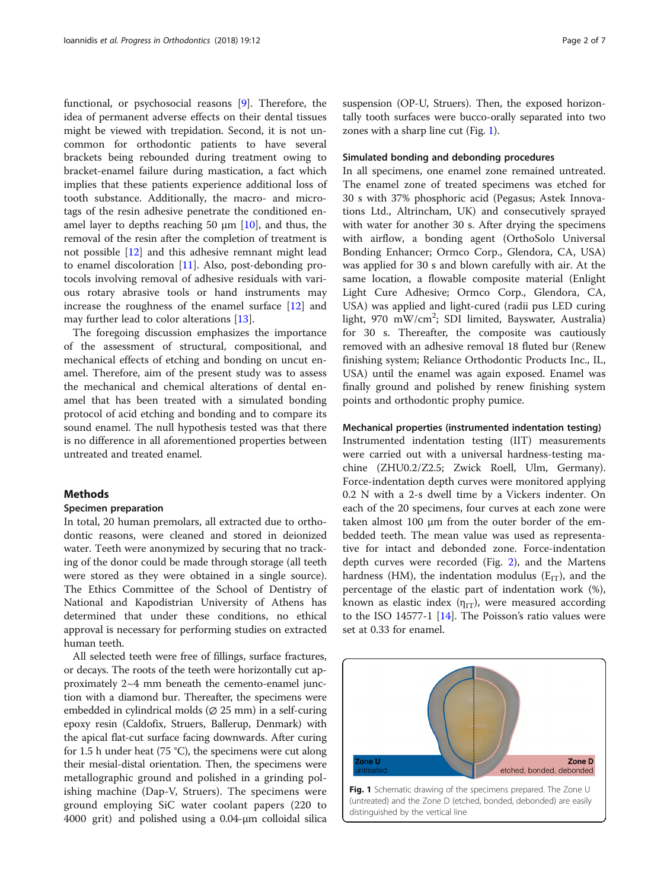functional, or psychosocial reasons [[9](#page-6-0)]. Therefore, the idea of permanent adverse effects on their dental tissues might be viewed with trepidation. Second, it is not uncommon for orthodontic patients to have several brackets being rebounded during treatment owing to bracket-enamel failure during mastication, a fact which implies that these patients experience additional loss of tooth substance. Additionally, the macro- and microtags of the resin adhesive penetrate the conditioned enamel layer to depths reaching 50  $\mu$ m [\[10\]](#page-6-0), and thus, the removal of the resin after the completion of treatment is not possible [\[12\]](#page-6-0) and this adhesive remnant might lead to enamel discoloration [\[11\]](#page-6-0). Also, post-debonding protocols involving removal of adhesive residuals with various rotary abrasive tools or hand instruments may increase the roughness of the enamel surface [\[12\]](#page-6-0) and may further lead to color alterations [\[13](#page-6-0)].

The foregoing discussion emphasizes the importance of the assessment of structural, compositional, and mechanical effects of etching and bonding on uncut enamel. Therefore, aim of the present study was to assess the mechanical and chemical alterations of dental enamel that has been treated with a simulated bonding protocol of acid etching and bonding and to compare its sound enamel. The null hypothesis tested was that there is no difference in all aforementioned properties between untreated and treated enamel.

#### Methods

#### Specimen preparation

In total, 20 human premolars, all extracted due to orthodontic reasons, were cleaned and stored in deionized water. Teeth were anonymized by securing that no tracking of the donor could be made through storage (all teeth were stored as they were obtained in a single source). The Ethics Committee of the School of Dentistry of National and Kapodistrian University of Athens has determined that under these conditions, no ethical approval is necessary for performing studies on extracted human teeth.

All selected teeth were free of fillings, surface fractures, or decays. The roots of the teeth were horizontally cut approximately 2~4 mm beneath the cemento-enamel junction with a diamond bur. Thereafter, the specimens were embedded in cylindrical molds ( $\varnothing$  25 mm) in a self-curing epoxy resin (Caldofix, Struers, Ballerup, Denmark) with the apical flat-cut surface facing downwards. After curing for 1.5 h under heat (75 °C), the specimens were cut along their mesial-distal orientation. Then, the specimens were metallographic ground and polished in a grinding polishing machine (Dap-V, Struers). The specimens were ground employing SiC water coolant papers (220 to 4000 grit) and polished using a 0.04-μm colloidal silica suspension (OP-U, Struers). Then, the exposed horizontally tooth surfaces were bucco-orally separated into two zones with a sharp line cut (Fig. 1).

## Simulated bonding and debonding procedures

In all specimens, one enamel zone remained untreated. The enamel zone of treated specimens was etched for 30 s with 37% phosphoric acid (Pegasus; Astek Innovations Ltd., Altrincham, UK) and consecutively sprayed with water for another 30 s. After drying the specimens with airflow, a bonding agent (OrthoSolo Universal Bonding Enhancer; Ormco Corp., Glendora, CA, USA) was applied for 30 s and blown carefully with air. At the same location, a flowable composite material (Enlight Light Cure Adhesive; Ormco Corp., Glendora, CA, USA) was applied and light-cured (radii pus LED curing light, 970 mW/cm<sup>2</sup>; SDI limited, Bayswater, Australia) for 30 s. Thereafter, the composite was cautiously removed with an adhesive removal 18 fluted bur (Renew finishing system; Reliance Orthodontic Products Inc., IL, USA) until the enamel was again exposed. Enamel was finally ground and polished by renew finishing system points and orthodontic prophy pumice.

## Mechanical properties (instrumented indentation testing)

Instrumented indentation testing (IIT) measurements were carried out with a universal hardness-testing machine (ZHU0.2/Z2.5; Zwick Roell, Ulm, Germany). Force-indentation depth curves were monitored applying 0.2 N with a 2-s dwell time by a Vickers indenter. On each of the 20 specimens, four curves at each zone were taken almost 100 μm from the outer border of the embedded teeth. The mean value was used as representative for intact and debonded zone. Force-indentation depth curves were recorded (Fig. [2\)](#page-2-0), and the Martens hardness (HM), the indentation modulus ( $E_{IT}$ ), and the percentage of the elastic part of indentation work (%), known as elastic index  $(\eta_{IT})$ , were measured according to the ISO 14577-1  $[14]$  $[14]$ . The Poisson's ratio values were set at 0.33 for enamel.

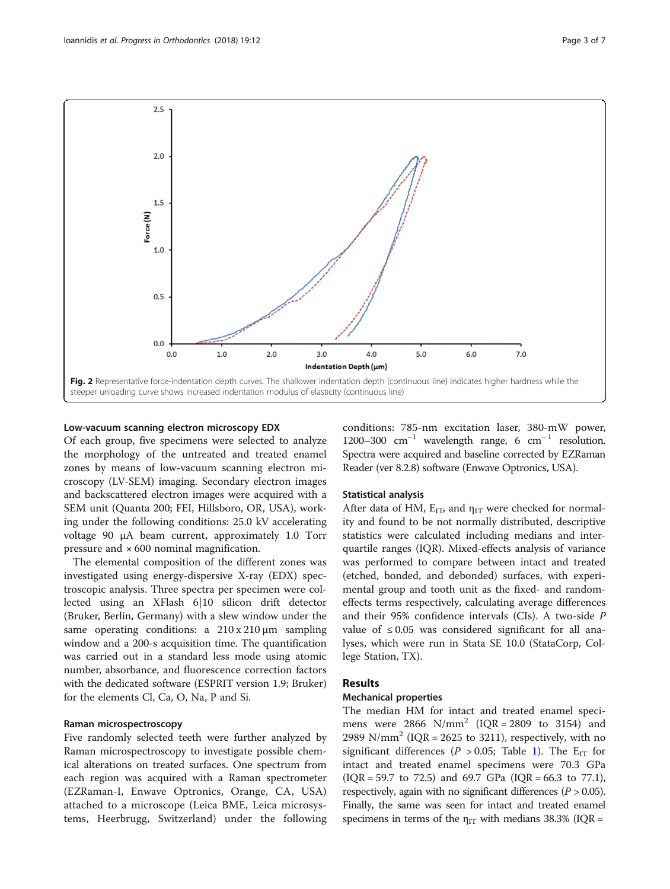<span id="page-2-0"></span>

### Low-vacuum scanning electron microscopy EDX

Of each group, five specimens were selected to analyze the morphology of the untreated and treated enamel zones by means of low-vacuum scanning electron microscopy (LV-SEM) imaging. Secondary electron images and backscattered electron images were acquired with a SEM unit (Quanta 200; FEI, Hillsboro, OR, USA), working under the following conditions: 25.0 kV accelerating voltage 90 μA beam current, approximately 1.0 Torr pressure and  $\times 600$  nominal magnification.

The elemental composition of the different zones was investigated using energy-dispersive X-ray (EDX) spectroscopic analysis. Three spectra per specimen were collected using an XFlash 6|10 silicon drift detector (Bruker, Berlin, Germany) with a slew window under the same operating conditions: a 210 x 210 μm sampling window and a 200-s acquisition time. The quantification was carried out in a standard less mode using atomic number, absorbance, and fluorescence correction factors with the dedicated software (ESPRIT version 1.9; Bruker) for the elements Cl, Ca, O, Na, P and Si.

## Raman microspectroscopy

Five randomly selected teeth were further analyzed by Raman microspectroscopy to investigate possible chemical alterations on treated surfaces. One spectrum from each region was acquired with a Raman spectrometer (EZRaman-I, Enwave Optronics, Orange, CA, USA) attached to a microscope (Leica BME, Leica microsystems, Heerbrugg, Switzerland) under the following conditions: 785-nm excitation laser, 380-mW power, 1200–300  $cm^{-1}$  wavelength range, 6  $cm^{-1}$  resolution. Spectra were acquired and baseline corrected by EZRaman Reader (ver 8.2.8) software (Enwave Optronics, USA).

#### Statistical analysis

After data of HM,  $E_{IT}$ , and  $\eta_{IT}$  were checked for normality and found to be not normally distributed, descriptive statistics were calculated including medians and interquartile ranges (IQR). Mixed-effects analysis of variance was performed to compare between intact and treated (etched, bonded, and debonded) surfaces, with experimental group and tooth unit as the fixed- and randomeffects terms respectively, calculating average differences and their 95% confidence intervals (CIs). A two-side P value of  $\leq 0.05$  was considered significant for all analyses, which were run in Stata SE 10.0 (StataCorp, College Station, TX).

## Results

## Mechanical properties

The median HM for intact and treated enamel specimens were 2866  $N/mm^2$  (IQR = 2809 to 3154) and 2989 N/mm<sup>2</sup> (IQR = 2625 to 3211), respectively, with no significant differences ( $P > 0.05$ ; Table [1\)](#page-3-0). The E<sub>IT</sub> for intact and treated enamel specimens were 70.3 GPa  $(IQR = 59.7 \text{ to } 72.5)$  and 69.7 GPa  $(IQR = 66.3 \text{ to } 77.1)$ , respectively, again with no significant differences ( $P > 0.05$ ). Finally, the same was seen for intact and treated enamel specimens in terms of the  $\eta_{IT}$  with medians 38.3% (IQR =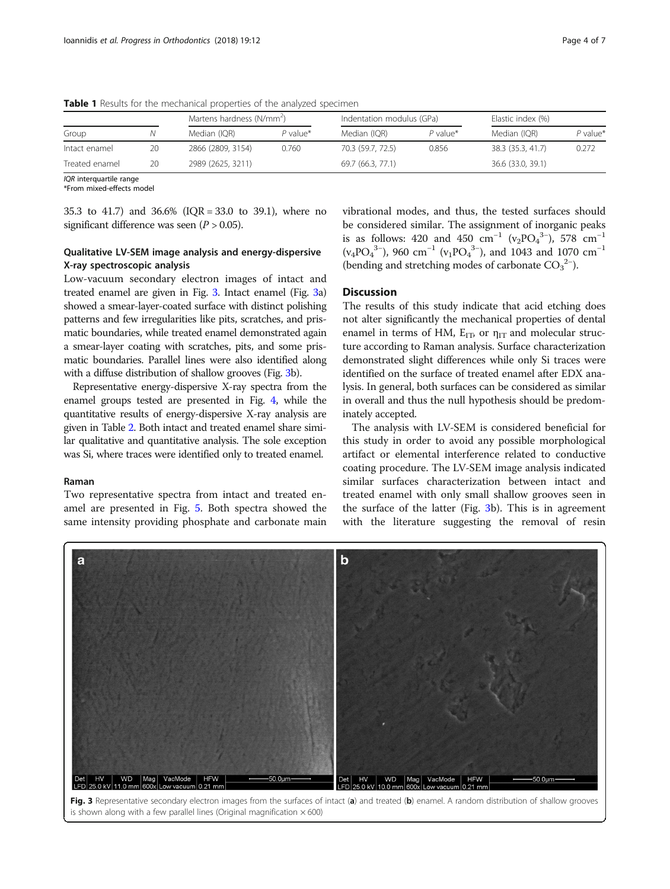|                |    | Martens hardness (N/mm <sup>2</sup> ) |            | Indentation modulus (GPa) |            | Elastic index (%) |            |
|----------------|----|---------------------------------------|------------|---------------------------|------------|-------------------|------------|
| Group          |    | Median (IQR)                          | $P$ value* | Median (IOR)              | $P$ value* | Median (IOR)      | $P$ value* |
| Intact enamel  | 20 | 2866 (2809, 3154)                     | 0.760      | 70.3 (59.7, 72.5)         | 0.856      | 38.3 (35.3, 41.7) | 0.272      |
| Treated enamel | 20 | 2989 (2625, 3211)                     |            | 69.7 (66.3, 77.1)         |            | 36.6 (33.0, 39.1) |            |

<span id="page-3-0"></span>Table 1 Results for the mechanical properties of the analyzed specimen

IOR interquartile range

\*From mixed-effects model

35.3 to 41.7) and 36.6% (IQR = 33.0 to 39.1), where no significant difference was seen  $(P > 0.05)$ .

## Qualitative LV-SEM image analysis and energy-dispersive X-ray spectroscopic analysis

Low-vacuum secondary electron images of intact and treated enamel are given in Fig. 3. Intact enamel (Fig. 3a) showed a smear-layer-coated surface with distinct polishing patterns and few irregularities like pits, scratches, and prismatic boundaries, while treated enamel demonstrated again a smear-layer coating with scratches, pits, and some prismatic boundaries. Parallel lines were also identified along with a diffuse distribution of shallow grooves (Fig. 3b).

Representative energy-dispersive X-ray spectra from the enamel groups tested are presented in Fig. [4](#page-4-0), while the quantitative results of energy-dispersive X-ray analysis are given in Table [2.](#page-4-0) Both intact and treated enamel share similar qualitative and quantitative analysis. The sole exception was Si, where traces were identified only to treated enamel.

## Raman

Two representative spectra from intact and treated enamel are presented in Fig. [5](#page-5-0). Both spectra showed the same intensity providing phosphate and carbonate main vibrational modes, and thus, the tested surfaces should be considered similar. The assignment of inorganic peaks is as follows: 420 and 450 cm<sup>-1</sup> (v<sub>2</sub>PO<sub>4</sub><sup>3-</sup>), 578 cm<sup>-1</sup>  $(v_4PO_4^{3-})$ , 960 cm<sup>-1</sup> ( $v_1PO_4^{3-}$ ), and 1043 and 1070 cm<sup>-1</sup> (bending and stretching modes of carbonate  $CO<sub>3</sub><sup>2–</sup>$ ).

## **Discussion**

The results of this study indicate that acid etching does not alter significantly the mechanical properties of dental enamel in terms of HM,  $E_{\text{ID}}$  or  $\eta_{\text{IT}}$  and molecular structure according to Raman analysis. Surface characterization demonstrated slight differences while only Si traces were identified on the surface of treated enamel after EDX analysis. In general, both surfaces can be considered as similar in overall and thus the null hypothesis should be predominately accepted.

The analysis with LV-SEM is considered beneficial for this study in order to avoid any possible morphological artifact or elemental interference related to conductive coating procedure. The LV-SEM image analysis indicated similar surfaces characterization between intact and treated enamel with only small shallow grooves seen in the surface of the latter (Fig. 3b). This is in agreement with the literature suggesting the removal of resin



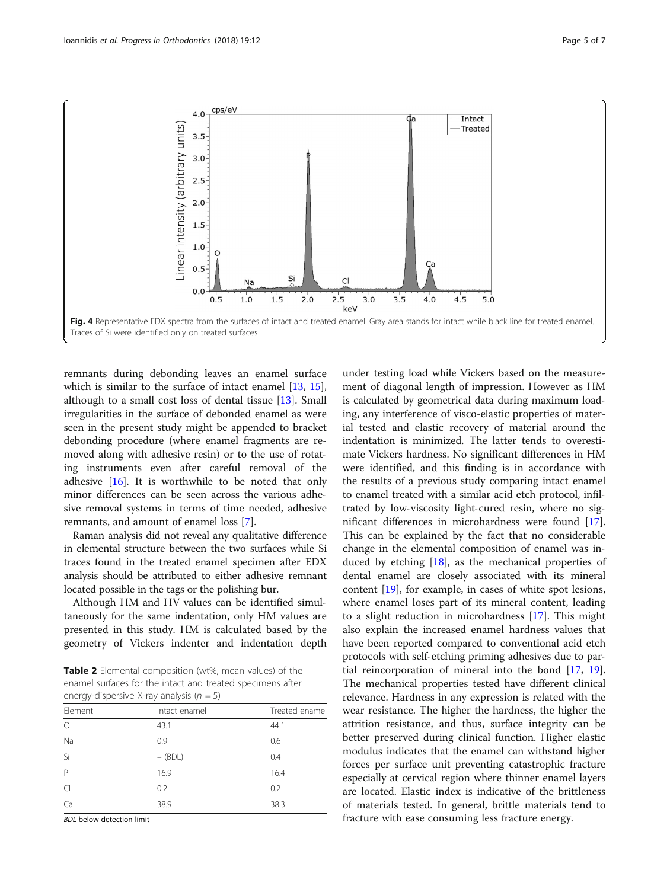<span id="page-4-0"></span>

remnants during debonding leaves an enamel surface which is similar to the surface of intact enamel [[13,](#page-6-0) [15](#page-6-0)], although to a small cost loss of dental tissue [\[13](#page-6-0)]. Small irregularities in the surface of debonded enamel as were seen in the present study might be appended to bracket debonding procedure (where enamel fragments are removed along with adhesive resin) or to the use of rotating instruments even after careful removal of the adhesive [[16\]](#page-6-0). It is worthwhile to be noted that only minor differences can be seen across the various adhesive removal systems in terms of time needed, adhesive remnants, and amount of enamel loss [[7\]](#page-6-0).

Raman analysis did not reveal any qualitative difference in elemental structure between the two surfaces while Si traces found in the treated enamel specimen after EDX analysis should be attributed to either adhesive remnant located possible in the tags or the polishing bur.

Although HM and HV values can be identified simultaneously for the same indentation, only HM values are presented in this study. HM is calculated based by the geometry of Vickers indenter and indentation depth

Table 2 Elemental composition (wt%, mean values) of the enamel surfaces for the intact and treated specimens after energy-dispersive X-ray analysis ( $n = 5$ )

| $\frac{1}{2}$ . The state of $\frac{1}{2}$ is the state of $\frac{1}{2}$ and $\frac{1}{2}$ is the state of $\frac{1}{2}$ |               |                |  |  |  |  |
|--------------------------------------------------------------------------------------------------------------------------|---------------|----------------|--|--|--|--|
| Element                                                                                                                  | Intact enamel | Treated enamel |  |  |  |  |
| $\circ$                                                                                                                  | 43.1          | 44.1           |  |  |  |  |
| Na                                                                                                                       | 0.9           | 0.6            |  |  |  |  |
| Si                                                                                                                       | $-$ (BDL)     | 0.4            |  |  |  |  |
| $\mathsf{P}$                                                                                                             | 16.9          | 16.4           |  |  |  |  |
| $\subset$                                                                                                                | 0.2           | 0.2            |  |  |  |  |
| Ca                                                                                                                       | 38.9          | 38.3           |  |  |  |  |

BDL below detection limit

under testing load while Vickers based on the measurement of diagonal length of impression. However as HM is calculated by geometrical data during maximum loading, any interference of visco-elastic properties of material tested and elastic recovery of material around the indentation is minimized. The latter tends to overestimate Vickers hardness. No significant differences in HM were identified, and this finding is in accordance with the results of a previous study comparing intact enamel to enamel treated with a similar acid etch protocol, infiltrated by low-viscosity light-cured resin, where no significant differences in microhardness were found [\[17](#page-6-0)]. This can be explained by the fact that no considerable change in the elemental composition of enamel was induced by etching  $[18]$ , as the mechanical properties of dental enamel are closely associated with its mineral content [\[19](#page-6-0)], for example, in cases of white spot lesions, where enamel loses part of its mineral content, leading to a slight reduction in microhardness [[17](#page-6-0)]. This might also explain the increased enamel hardness values that have been reported compared to conventional acid etch protocols with self-etching priming adhesives due to partial reincorporation of mineral into the bond [[17,](#page-6-0) [19](#page-6-0)]. The mechanical properties tested have different clinical relevance. Hardness in any expression is related with the wear resistance. The higher the hardness, the higher the attrition resistance, and thus, surface integrity can be better preserved during clinical function. Higher elastic modulus indicates that the enamel can withstand higher forces per surface unit preventing catastrophic fracture especially at cervical region where thinner enamel layers are located. Elastic index is indicative of the brittleness of materials tested. In general, brittle materials tend to fracture with ease consuming less fracture energy.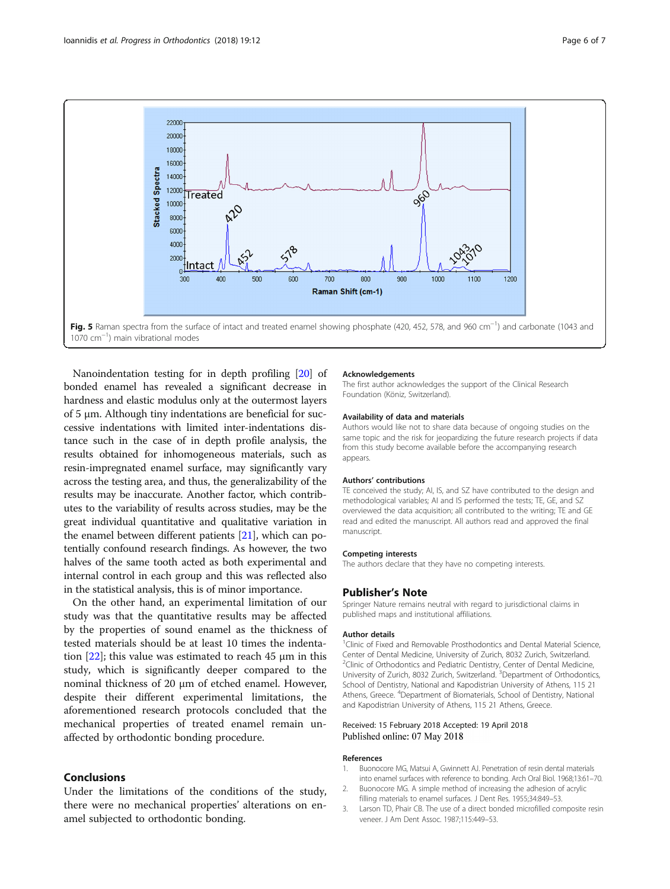<span id="page-5-0"></span>

Nanoindentation testing for in depth profiling [\[20](#page-6-0)] of bonded enamel has revealed a significant decrease in hardness and elastic modulus only at the outermost layers of 5 μm. Although tiny indentations are beneficial for successive indentations with limited inter-indentations distance such in the case of in depth profile analysis, the results obtained for inhomogeneous materials, such as resin-impregnated enamel surface, may significantly vary across the testing area, and thus, the generalizability of the results may be inaccurate. Another factor, which contributes to the variability of results across studies, may be the great individual quantitative and qualitative variation in the enamel between different patients [[21\]](#page-6-0), which can potentially confound research findings. As however, the two halves of the same tooth acted as both experimental and internal control in each group and this was reflected also in the statistical analysis, this is of minor importance.

On the other hand, an experimental limitation of our study was that the quantitative results may be affected by the properties of sound enamel as the thickness of tested materials should be at least 10 times the indentation  $[22]$ ; this value was estimated to reach 45  $\mu$ m in this study, which is significantly deeper compared to the nominal thickness of 20 μm of etched enamel. However, despite their different experimental limitations, the aforementioned research protocols concluded that the mechanical properties of treated enamel remain unaffected by orthodontic bonding procedure.

## Conclusions

Under the limitations of the conditions of the study, there were no mechanical properties' alterations on enamel subjected to orthodontic bonding.

#### Acknowledgements

The first author acknowledges the support of the Clinical Research Foundation (Köniz, Switzerland).

#### Availability of data and materials

Authors would like not to share data because of ongoing studies on the same topic and the risk for jeopardizing the future research projects if data from this study become available before the accompanying research appears.

#### Authors' contributions

TE conceived the study; AI, IS, and SZ have contributed to the design and methodological variables; AI and IS performed the tests; TE, GE, and SZ overviewed the data acquisition; all contributed to the writing; TE and GE read and edited the manuscript. All authors read and approved the final manuscript.

#### Competing interests

The authors declare that they have no competing interests.

#### Publisher's Note

Springer Nature remains neutral with regard to jurisdictional claims in published maps and institutional affiliations.

#### Author details

<sup>1</sup>Clinic of Fixed and Removable Prosthodontics and Dental Material Science Center of Dental Medicine, University of Zurich, 8032 Zurich, Switzerland. <sup>2</sup>Clinic of Orthodontics and Pediatric Dentistry, Center of Dental Medicine, University of Zurich, 8032 Zurich, Switzerland. <sup>3</sup> Department of Orthodontics, School of Dentistry, National and Kapodistrian University of Athens, 115 21 Athens, Greece. <sup>4</sup> Department of Biomaterials, School of Dentistry, National and Kapodistrian University of Athens, 115 21 Athens, Greece.

#### Received: 15 February 2018 Accepted: 19 April 2018 Published online: 07 May 2018

#### References

- 1. Buonocore MG, Matsui A, Gwinnett AJ. Penetration of resin dental materials into enamel surfaces with reference to bonding. Arch Oral Biol. 1968;13:61–70.
- 2. Buonocore MG. A simple method of increasing the adhesion of acrylic filling materials to enamel surfaces. J Dent Res. 1955;34:849–53.
- 3. Larson TD, Phair CB. The use of a direct bonded microfilled composite resin veneer. J Am Dent Assoc. 1987;115:449–53.